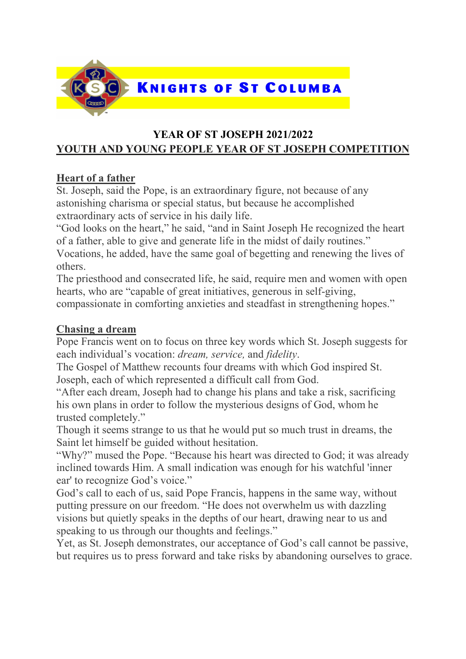

## YEAR OF ST JOSEPH 2021/2022 YOUTH AND YOUNG PEOPLE YEAR OF ST JOSEPH COMPETITION

## Heart of a father

St. Joseph, said the Pope, is an extraordinary figure, not because of any astonishing charisma or special status, but because he accomplished extraordinary acts of service in his daily life.

"God looks on the heart," he said, "and in Saint Joseph He recognized the heart of a father, able to give and generate life in the midst of daily routines."

Vocations, he added, have the same goal of begetting and renewing the lives of others.

The priesthood and consecrated life, he said, require men and women with open hearts, who are "capable of great initiatives, generous in self-giving, compassionate in comforting anxieties and steadfast in strengthening hopes."

#### Chasing a dream

Pope Francis went on to focus on three key words which St. Joseph suggests for each individual's vocation: dream, service, and fidelity.

The Gospel of Matthew recounts four dreams with which God inspired St. Joseph, each of which represented a difficult call from God.

"After each dream, Joseph had to change his plans and take a risk, sacrificing his own plans in order to follow the mysterious designs of God, whom he trusted completely."

Though it seems strange to us that he would put so much trust in dreams, the Saint let himself be guided without hesitation.

"Why?" mused the Pope. "Because his heart was directed to God; it was already inclined towards Him. A small indication was enough for his watchful 'inner ear' to recognize God's voice."

God's call to each of us, said Pope Francis, happens in the same way, without putting pressure on our freedom. "He does not overwhelm us with dazzling visions but quietly speaks in the depths of our heart, drawing near to us and speaking to us through our thoughts and feelings."

Yet, as St. Joseph demonstrates, our acceptance of God's call cannot be passive, but requires us to press forward and take risks by abandoning ourselves to grace.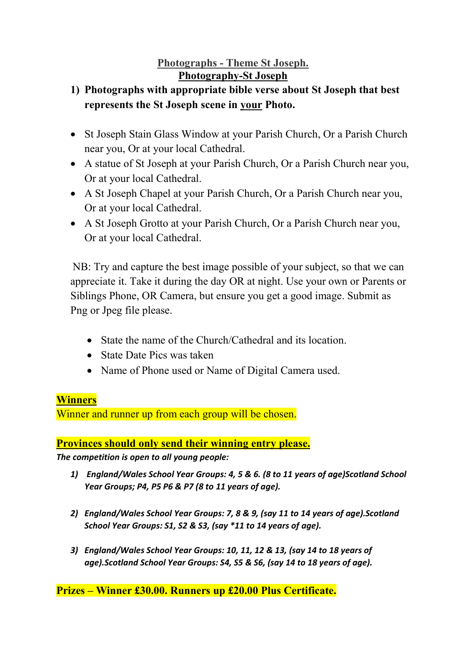## Photographs - Theme St Joseph. Photography-St Joseph

# 1) Photographs with appropriate bible verse about St Joseph that best represents the St Joseph scene in your Photo.

- St Joseph Stain Glass Window at your Parish Church, Or a Parish Church near you, Or at your local Cathedral.
- A statue of St Joseph at your Parish Church, Or a Parish Church near you, Or at your local Cathedral.
- A St Joseph Chapel at your Parish Church, Or a Parish Church near you, Or at your local Cathedral.
- A St Joseph Grotto at your Parish Church, Or a Parish Church near you, Or at your local Cathedral.

NB: Try and capture the best image possible of your subject, so that we can appreciate it. Take it during the day OR at night. Use your own or Parents or Siblings Phone, OR Camera, but ensure you get a good image. Submit as Png or Jpeg file please.

- State the name of the Church/Cathedral and its location.
- State Date Pics was taken
- Name of Phone used or Name of Digital Camera used.

#### **Winners**

Winner and runner up from each group will be chosen.

#### Provinces should only send their winning entry please.

The competition is open to all young people:

- 1) England/Wales School Year Groups: 4, 5 & 6. (8 to 11 years of age)Scotland School Year Groups; P4, P5 P6 & P7 (8 to 11 years of age).
- 2) England/Wales School Year Groups: 7, 8 & 9, (say 11 to 14 years of age).Scotland School Year Groups: S1, S2 & S3, (say \*11 to 14 years of age).
- 3) England/Wales School Year Groups: 10, 11, 12 & 13, (say 14 to 18 years of age).Scotland School Year Groups: S4, S5 & S6, (say 14 to 18 years of age).

#### Prizes – Winner £30.00. Runners up £20.00 Plus Certificate.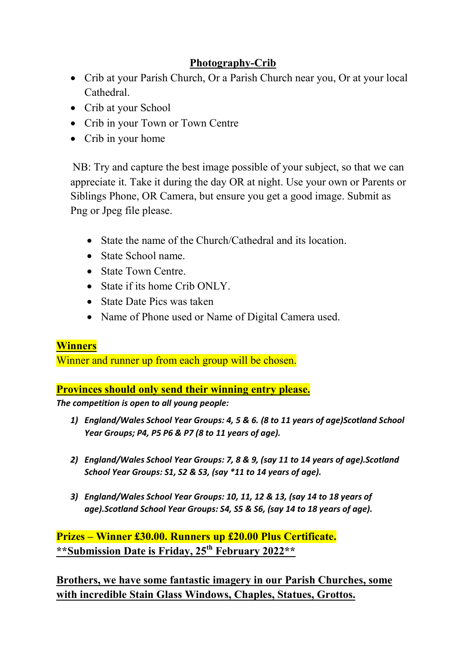# Photography-Crib

- Crib at your Parish Church, Or a Parish Church near you, Or at your local Cathedral.
- Crib at your School
- Crib in your Town or Town Centre
- Crib in your home

NB: Try and capture the best image possible of your subject, so that we can appreciate it. Take it during the day OR at night. Use your own or Parents or Siblings Phone, OR Camera, but ensure you get a good image. Submit as Png or Jpeg file please.

- State the name of the Church/Cathedral and its location.
- State School name.
- State Town Centre.
- State if its home Crib ONLY.
- State Date Pics was taken
- Name of Phone used or Name of Digital Camera used.

## **Winners**

Winner and runner up from each group will be chosen.

Provinces should only send their winning entry please.

The competition is open to all young people:

- 1) England/Wales School Year Groups: 4, 5 & 6. (8 to 11 years of age)Scotland School Year Groups; P4, P5 P6 & P7 (8 to 11 years of age).
- 2) England/Wales School Year Groups: 7, 8 & 9, (say 11 to 14 years of age).Scotland School Year Groups: S1, S2 & S3, (say \*11 to 14 years of age).
- 3) England/Wales School Year Groups: 10, 11, 12 & 13, (say 14 to 18 years of age).Scotland School Year Groups: S4, S5 & S6, (say 14 to 18 years of age).

Prizes – Winner £30.00. Runners up £20.00 Plus Certificate. \*\*Submission Date is Friday, 25<sup>th</sup> February 2022\*\*

Brothers, we have some fantastic imagery in our Parish Churches, some with incredible Stain Glass Windows, Chaples, Statues, Grottos.